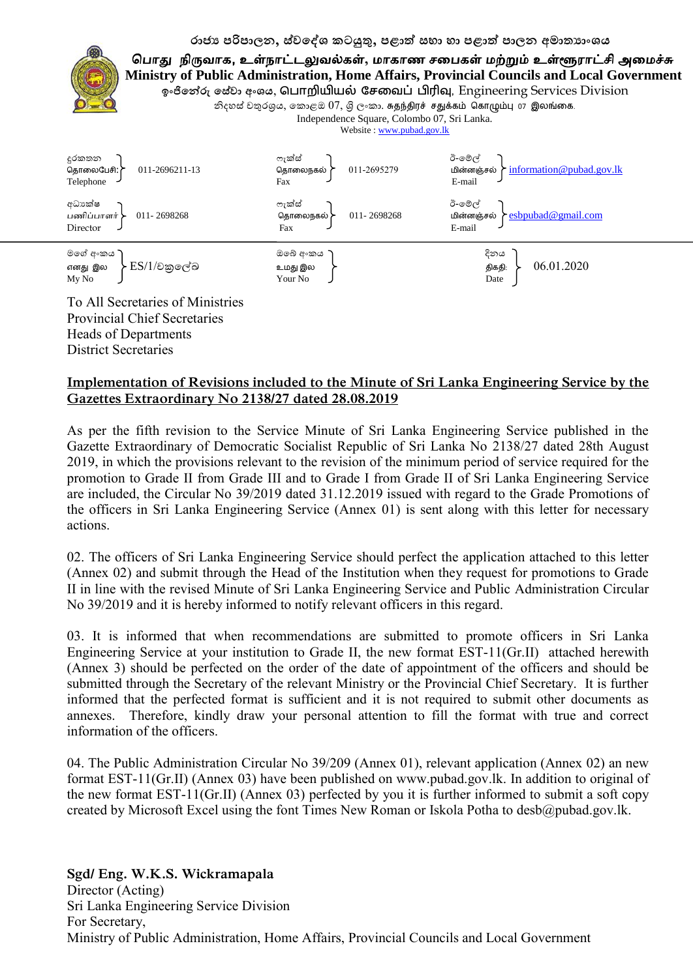#### රාජා පරිපාලන, ස්වදේශ කටයුතු, පළාත් සභා හා පළාත් පාලන අමාතාාංශය



# **Implementation of Revisions included to the Minute of Sri Lanka Engineering Service by the Gazettes Extraordinary No 2138/27 dated 28.08.2019**

District Secretaries

As per the fifth revision to the Service Minute of Sri Lanka Engineering Service published in the Gazette Extraordinary of Democratic Socialist Republic of Sri Lanka No 2138/27 dated 28th August 2019, in which the provisions relevant to the revision of the minimum period of service required for the promotion to Grade II from Grade III and to Grade I from Grade II of Sri Lanka Engineering Service are included, the Circular No 39/2019 dated 31 12 2019 issued with regard to the Grade Promotions of the officers in Sri Lanka Engineering Service (Annex 01) is sent along with this letter for necessary actions.

02 The officers of Sri Lanka Engineering Service should perfect the application attached to this letter (Annex 02) and submit through the Head of the Institution when they request for promotions to Grade II in line with the revised Minute of Sri Lanka Engineering Service and Public Administration Circular No 39/2019 and it is hereby informed to notify relevant officers in this regard.

03 It is informed that when recommendations are submitted to promote officers in Sri Lanka Engineering Service at your institution to Grade II, the new format EST-11(Gr.II) attached herewith (Annex 3) should be perfected on the order of the date of appointment of the officers and should be submitted through the Secretary of the relevant Ministry or the Provincial Chief Secretary. It is further informed that the perfected format is sufficient and it is not required to submit other documents as annexes. Therefore, kindly draw your personal attention to fill the format with true and correct information of the officers.

04 The Public Administration Circular No 39/209 (Annex 01), relevant application (Annex 02) an new format EST-11(Gr.II) (Annex 03) have been published on www.pubad.gov.lk. In addition to original of the new format EST-11(Gr.II) (Annex 03) perfected by you it is further informed to submit a soft copy created by Microsoft Excel using the font Times New Roman or Iskola Potha to desb@pubad.gov.lk.

**Sgd/ Eng. W.K.S. Wickramapala** Director (Acting) Sri Lanka Engineering Service Division For Secretary, Ministry of Public Administration, Home Affairs, Provincial Councils and Local Government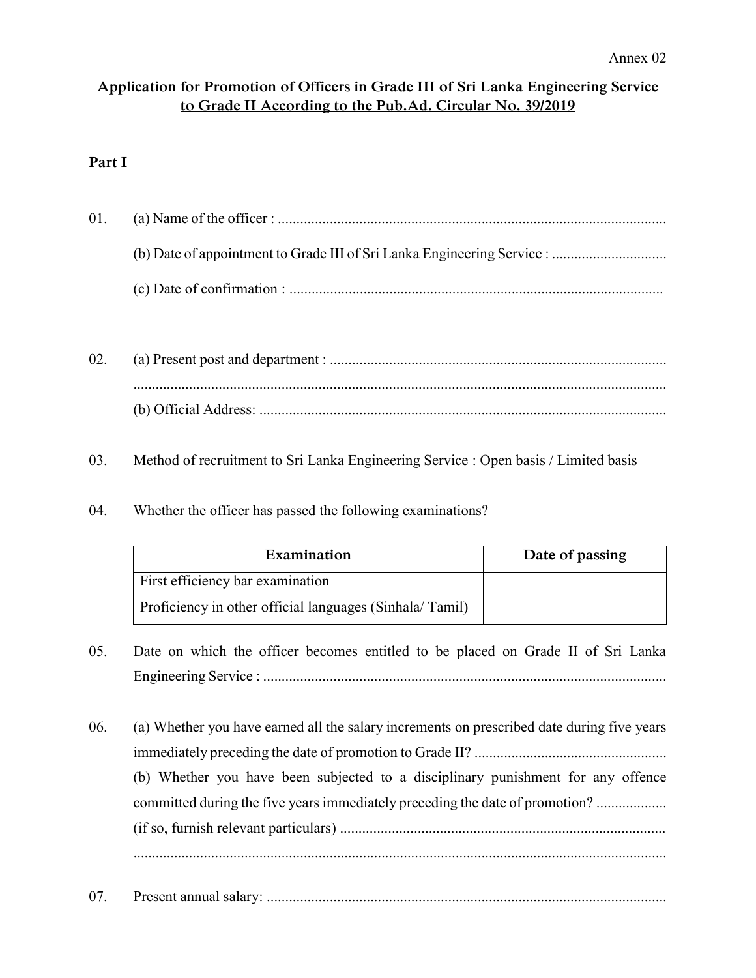### **Application for Promotion of Officers in Grade III of Sri Lanka Engineering Service to Grade II According to the Pub.Ad. Circular No. 39/2019**

# **Part I**

| 01. |  |
|-----|--|
|     |  |
|     |  |

- 02. (a) Present post and department : ........................................................................................... ................................................................................................................................................ (b) Official Address: ..............................................................................................................
- 03. Method of recruitment to Sri Lanka Engineering Service : Open basis / Limited basis
- 04. Whether the officer has passed the following examinations?

| Examination                                             | Date of passing |
|---------------------------------------------------------|-----------------|
| First efficiency bar examination                        |                 |
| Proficiency in other official languages (Sinhala/Tamil) |                 |

- 05. Date on which the officer becomes entitled to be placed on Grade II of Sri Lanka Engineering Service : .............................................................................................................
- 06. (a) Whether you have earned all the salary increments on prescribed date during five years immediately preceding the date of promotion to Grade II? .................................................... (b) Whether you have been subjected to a disciplinary punishment for any offence committed during the five years immediately preceding the date of promotion? ................................. (if so, furnish relevant particulars) ........................................................................................ ................................................................................................................................................
- 07. Present annual salary: ............................................................................................................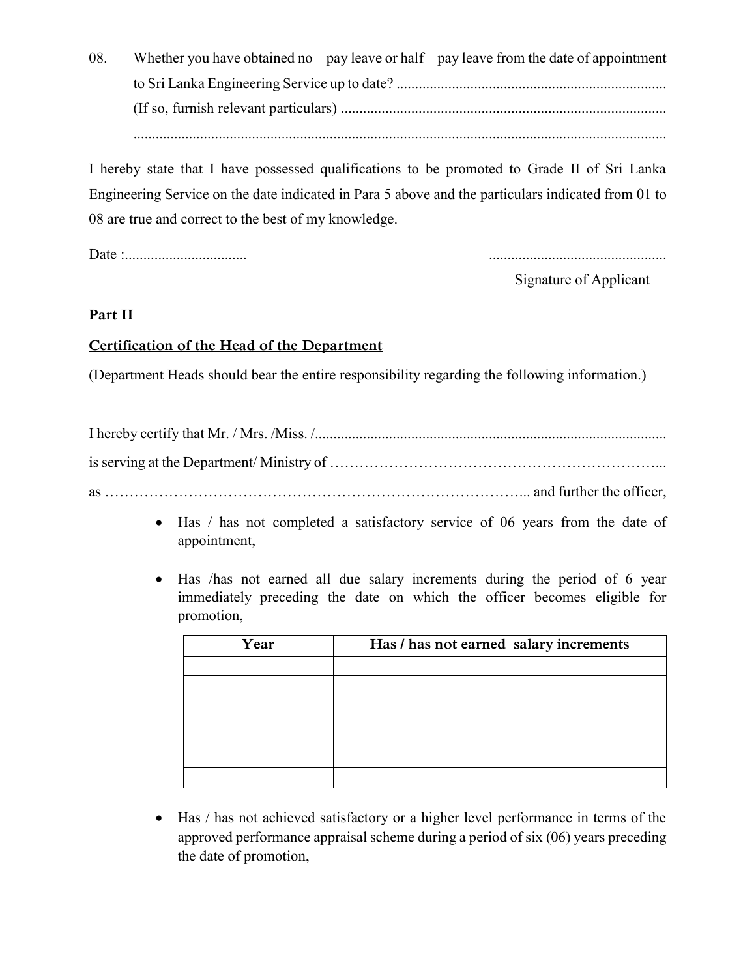08. Whether you have obtained no – pay leave or half – pay leave from the date of appointment to Sri Lanka Engineering Service up to date? ......................................................................... (If so, furnish relevant particulars) ........................................................................................ ................................................................................................................................................

I hereby state that I have possessed qualifications to be promoted to Grade II of Sri Lanka Engineering Service on the date indicated in Para 5 above and the particulars indicated from 01 to 08 are true and correct to the best of my knowledge.

Date :................................. ................................................

Signature of Applicant

**Part II**

#### **Certification of the Head of the Department**

(Department Heads should bear the entire responsibility regarding the following information.)

- Has / has not completed a satisfactory service of 06 years from the date of appointment,
- Has /has not earned all due salary increments during the period of 6 year immediately preceding the date on which the officer becomes eligible for promotion,

| Year | Has / has not earned salary increments |
|------|----------------------------------------|
|      |                                        |
|      |                                        |
|      |                                        |
|      |                                        |
|      |                                        |
|      |                                        |
|      |                                        |

 Has / has not achieved satisfactory or a higher level performance in terms of the approved performance appraisal scheme during a period of six (06) years preceding the date of promotion,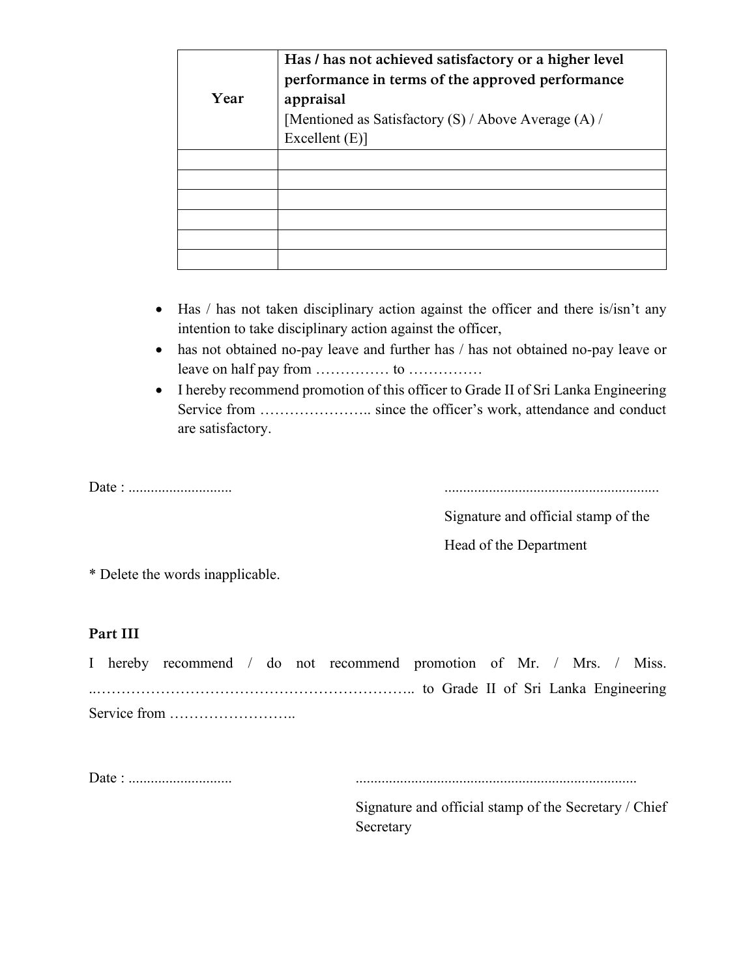| Year | Has / has not achieved satisfactory or a higher level<br>performance in terms of the approved performance<br>appraisal<br>[Mentioned as Satisfactory $(S)$ / Above Average $(A)$ /<br>Excellent $(E)$ ] |  |  |  |  |  |  |  |  |
|------|---------------------------------------------------------------------------------------------------------------------------------------------------------------------------------------------------------|--|--|--|--|--|--|--|--|
|      |                                                                                                                                                                                                         |  |  |  |  |  |  |  |  |
|      |                                                                                                                                                                                                         |  |  |  |  |  |  |  |  |
|      |                                                                                                                                                                                                         |  |  |  |  |  |  |  |  |
|      |                                                                                                                                                                                                         |  |  |  |  |  |  |  |  |
|      |                                                                                                                                                                                                         |  |  |  |  |  |  |  |  |
|      |                                                                                                                                                                                                         |  |  |  |  |  |  |  |  |

- Has / has not taken disciplinary action against the officer and there is/isn't any intention to take disciplinary action against the officer,
- has not obtained no-pay leave and further has / has not obtained no-pay leave or leave on half pay from …………… to ……………
- I hereby recommend promotion of this officer to Grade II of Sri Lanka Engineering Service from ………………….. since the officer's work, attendance and conduct are satisfactory.

Date : ............................ ..........................................................

Signature and official stamp of the

Head of the Department

\* Delete the words inapplicable.

#### **Part III**

I hereby recommend / do not recommend promotion of Mr. / Mrs. / Miss. ..……………………………………………………….. to Grade II of Sri Lanka Engineering Service from ……………………..

Date : ............................ ............................................................................

Signature and official stamp of the Secretary / Chief Secretary